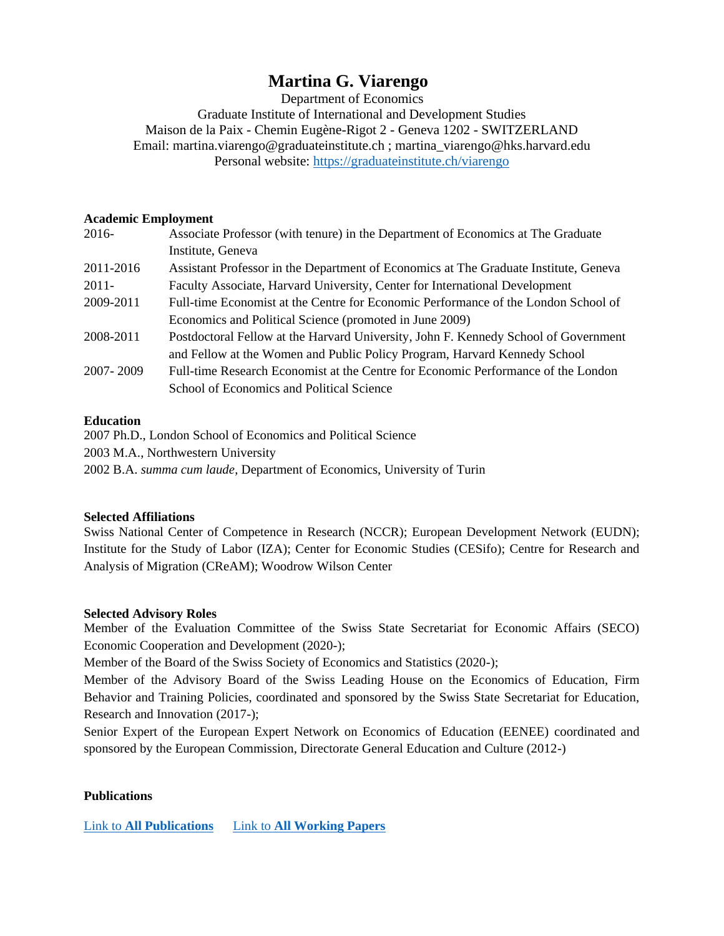# **Martina G. Viarengo**

Department of Economics

Graduate Institute of International and Development Studies Maison de la Paix - Chemin Eugène-Rigot 2 - Geneva 1202 - SWITZERLAND Email: martina.viarengo@graduateinstitute.ch ; martina\_viarengo@hks.harvard.edu Personal website:<https://graduateinstitute.ch/viarengo>

## **Academic Employment**

| 2016-     | Associate Professor (with tenure) in the Department of Economics at The Graduate     |
|-----------|--------------------------------------------------------------------------------------|
|           | Institute, Geneva                                                                    |
| 2011-2016 | Assistant Professor in the Department of Economics at The Graduate Institute, Geneva |
| $2011 -$  | Faculty Associate, Harvard University, Center for International Development          |
| 2009-2011 | Full-time Economist at the Centre for Economic Performance of the London School of   |
|           | Economics and Political Science (promoted in June 2009)                              |
| 2008-2011 | Postdoctoral Fellow at the Harvard University, John F. Kennedy School of Government  |
|           | and Fellow at the Women and Public Policy Program, Harvard Kennedy School            |
| 2007-2009 | Full-time Research Economist at the Centre for Economic Performance of the London    |
|           | School of Economics and Political Science                                            |

## **Education**

2007 Ph.D., London School of Economics and Political Science 2003 M.A., Northwestern University 2002 B.A. *summa cum laude*, Department of Economics, University of Turin

# **Selected Affiliations**

Swiss National Center of Competence in Research (NCCR); European Development Network (EUDN); Institute for the Study of Labor (IZA); Center for Economic Studies (CESifo); Centre for Research and Analysis of Migration (CReAM); Woodrow Wilson Center

#### **Selected Advisory Roles**

Member of the Evaluation Committee of the Swiss State Secretariat for Economic Affairs (SECO) Economic Cooperation and Development (2020-);

Member of the Board of the Swiss Society of Economics and Statistics (2020-);

Member of the Advisory Board of the Swiss Leading House on the Economics of Education, Firm Behavior and Training Policies, coordinated and sponsored by the Swiss State Secretariat for Education, Research and Innovation (2017-);

Senior Expert of the European Expert Network on Economics of Education (EENEE) coordinated and sponsored by the European Commission, Directorate General Education and Culture (2012-)

# **Publications**

Link to **[All Publications](https://repository.graduateinstitute.ch/search?f1=author&as=1&sf=title&so=a&rm=&m1=e&p1=Viarengo%2C%20Martina&ln=en&_ga=2.9656432.495703245.1584896814-241414253.1572357786)** Link to **[All Working Papers](https://ideas.repec.org/f/pvi254.html)**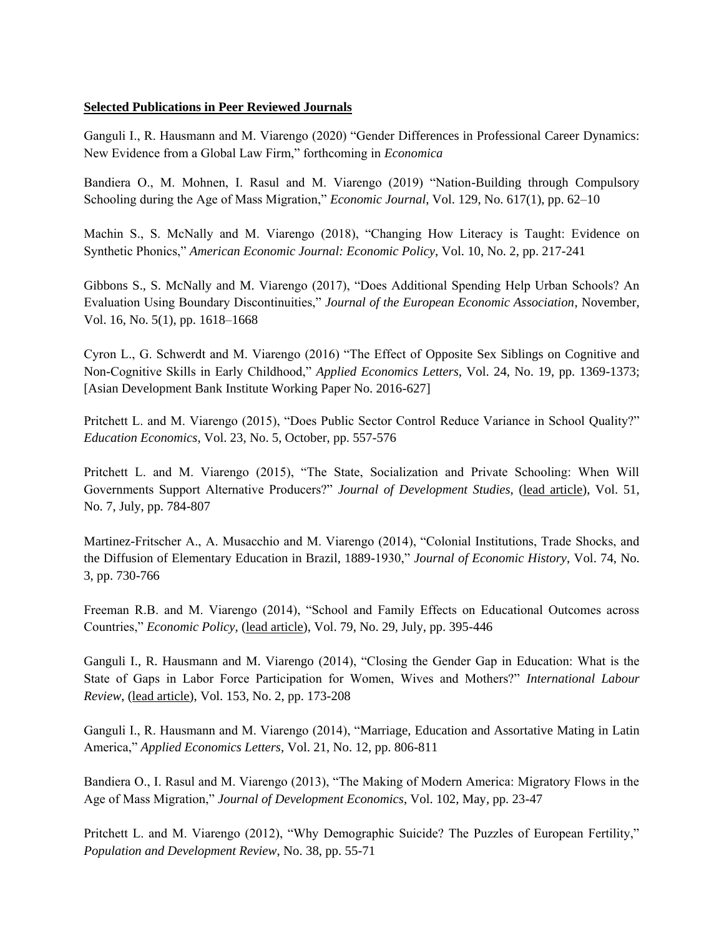#### **Selected Publications in Peer Reviewed Journals**

Ganguli I., R. Hausmann and M. Viarengo (2020) "Gender Differences in Professional Career Dynamics: New Evidence from a Global Law Firm," forthcoming in *Economica*

Bandiera O., M. Mohnen, I. Rasul and M. Viarengo (2019) "Nation-Building through Compulsory Schooling during the Age of Mass Migration," *Economic Journal*, Vol. 129, No. 617(1), pp. 62–10

Machin S., S. McNally and M. Viarengo (2018), "Changing How Literacy is Taught: Evidence on Synthetic Phonics," *American Economic Journal: Economic Policy*, Vol. 10, No. 2, pp. 217-241

Gibbons S., S. McNally and M. Viarengo (2017), "Does Additional Spending Help Urban Schools? An Evaluation Using Boundary Discontinuities," *Journal of the European Economic Association*, November, Vol. 16, No. 5(1), pp. 1618–1668

Cyron L., G. Schwerdt and M. Viarengo (2016) "The Effect of Opposite Sex Siblings on Cognitive and Non-Cognitive Skills in Early Childhood," *Applied Economics Letters*, Vol. 24, No. 19, pp. 1369-1373; [Asian Development Bank Institute Working Paper No. 2016-627]

Pritchett L. and M. Viarengo (2015), "Does Public Sector Control Reduce Variance in School Quality?" *Education Economics*, Vol. 23, No. 5, October, pp. 557-576

Pritchett L. and M. Viarengo (2015), "The State, Socialization and Private Schooling: When Will Governments Support Alternative Producers?" *Journal of Development Studies*, (lead article), Vol. 51, No. 7, July, pp. 784-807

Martinez-Fritscher A., A. Musacchio and M. Viarengo (2014), "Colonial Institutions, Trade Shocks, and the Diffusion of Elementary Education in Brazil, 1889-1930," *Journal of Economic History*, Vol. 74, No. 3, pp. 730-766

Freeman R.B. and M. Viarengo (2014), "School and Family Effects on Educational Outcomes across Countries," *Economic Policy*, (lead article), Vol. 79, No. 29, July, pp. 395-446

Ganguli I., R. Hausmann and M. Viarengo (2014), "Closing the Gender Gap in Education: What is the State of Gaps in Labor Force Participation for Women, Wives and Mothers?" *International Labour Review*, (lead article), Vol. 153, No. 2, pp. 173-208

Ganguli I., R. Hausmann and M. Viarengo (2014), "Marriage, Education and Assortative Mating in Latin America," *Applied Economics Letters*, Vol. 21, No. 12, pp. 806-811

Bandiera O., I. Rasul and M. Viarengo (2013), "The Making of Modern America: Migratory Flows in the Age of Mass Migration," *Journal of Development Economics*, Vol. 102, May, pp. 23-47

Pritchett L. and M. Viarengo (2012), "Why Demographic Suicide? The Puzzles of European Fertility," *Population and Development Review*, No. 38, pp. 55-71